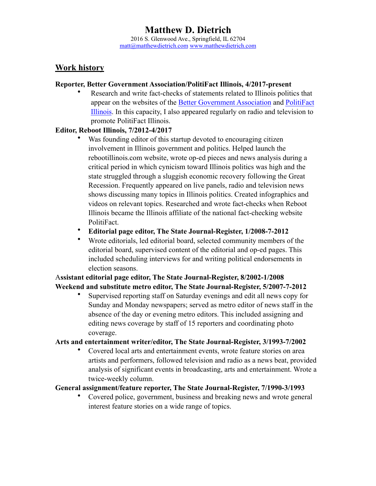## **Work history**

#### **Reporter, Better Government Association/PolitiFact Illinois, 4/2017-present**

• Research and write fact-checks of statements related to Illinois politics that appear on the websites of the [Better Government Association](https://www.bettergov.org/) and [PolitiFact](http://www.politifact.com/illinois/)  [Illinois](http://www.politifact.com/illinois/). In this capacity, I also appeared regularly on radio and television to promote PolitiFact Illinois.

#### **Editor, Reboot Illinois, 7/2012-4/2017**

- Was founding editor of this startup devoted to encouraging citizen involvement in Illinois government and politics. Helped launch the rebootillinois.com website, wrote op-ed pieces and news analysis during a critical period in which cynicism toward Illinois politics was high and the state struggled through a sluggish economic recovery following the Great Recession. Frequently appeared on live panels, radio and television news shows discussing many topics in Illinois politics. Created infographics and videos on relevant topics. Researched and wrote fact-checks when Reboot Illinois became the Illinois affiliate of the national fact-checking website PolitiFact.
- **Editorial page editor, The State Journal-Register, 1/2008-7-2012**
- Wrote editorials, led editorial board, selected community members of the editorial board, supervised content of the editorial and op-ed pages. This included scheduling interviews for and writing political endorsements in election seasons.

### A**ssistant editorial page editor, The State Journal-Register, 8/2002-1/2008 Weekend and substitute metro editor, The State Journal-Register, 5/2007-7-2012**

• Supervised reporting staff on Saturday evenings and edit all news copy for Sunday and Monday newspapers; served as metro editor of news staff in the absence of the day or evening metro editors. This included assigning and editing news coverage by staff of 15 reporters and coordinating photo coverage.

#### **Arts and entertainment writer/editor, The State Journal-Register, 3/1993-7/2002**

• Covered local arts and entertainment events, wrote feature stories on area artists and performers, followed television and radio as a news beat, provided analysis of significant events in broadcasting, arts and entertainment. Wrote a twice-weekly column.

### **General assignment/feature reporter, The State Journal-Register, 7/1990-3/1993**

• Covered police, government, business and breaking news and wrote general interest feature stories on a wide range of topics.